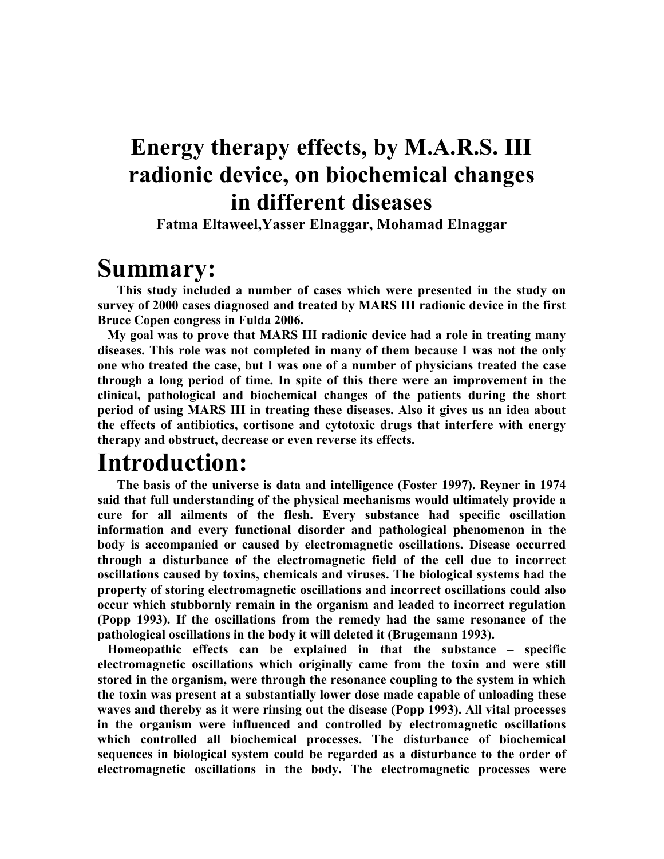# **Energy therapy effects, by M.A.R.S. III radionic device, on biochemical changes in different diseases**

**Fatma Eltaweel,Yasser Elnaggar, Mohamad Elnaggar**

**Summary:**<br>This study included a number of cases which were presented in the study on **survey of 2000 cases diagnosed and treated by MARS III radionic device in the first Bruce Copen congress in Fulda 2006.**

 **My goal was to prove that MARS III radionic device had a role in treating many diseases. This role was not completed in many of them because I was not the only one who treated the case, but I was one of a number of physicians treated the case through a long period of time. In spite of this there were an improvement in the clinical, pathological and biochemical changes of the patients during the short period of using MARS III in treating these diseases. Also it gives us an idea about the effects of antibiotics, cortisone and cytotoxic drugs that interfere with energy therapy and obstruct, decrease or even reverse its effects.**

**Introduction: The basis of the universe is data and intelligence (Foster 1997). Reyner in 1974 said that full understanding of the physical mechanisms would ultimately provide a cure for all ailments of the flesh. Every substance had specific oscillation information and every functional disorder and pathological phenomenon in the body is accompanied or caused by electromagnetic oscillations. Disease occurred through a disturbance of the electromagnetic field of the cell due to incorrect oscillations caused by toxins, chemicals and viruses. The biological systems had the property of storing electromagnetic oscillations and incorrect oscillations could also occur which stubbornly remain in the organism and leaded to incorrect regulation (Popp 1993). If the oscillations from the remedy had the same resonance of the pathological oscillations in the body it will deleted it (Brugemann 1993).**

 **Homeopathic effects can be explained in that the substance – specific electromagnetic oscillations which originally came from the toxin and were still stored in the organism, were through the resonance coupling to the system in which the toxin was present at a substantially lower dose made capable of unloading these waves and thereby as it were rinsing out the disease (Popp 1993). All vital processes in the organism were influenced and controlled by electromagnetic oscillations which controlled all biochemical processes. The disturbance of biochemical sequences in biological system could be regarded as a disturbance to the order of electromagnetic oscillations in the body. The electromagnetic processes were**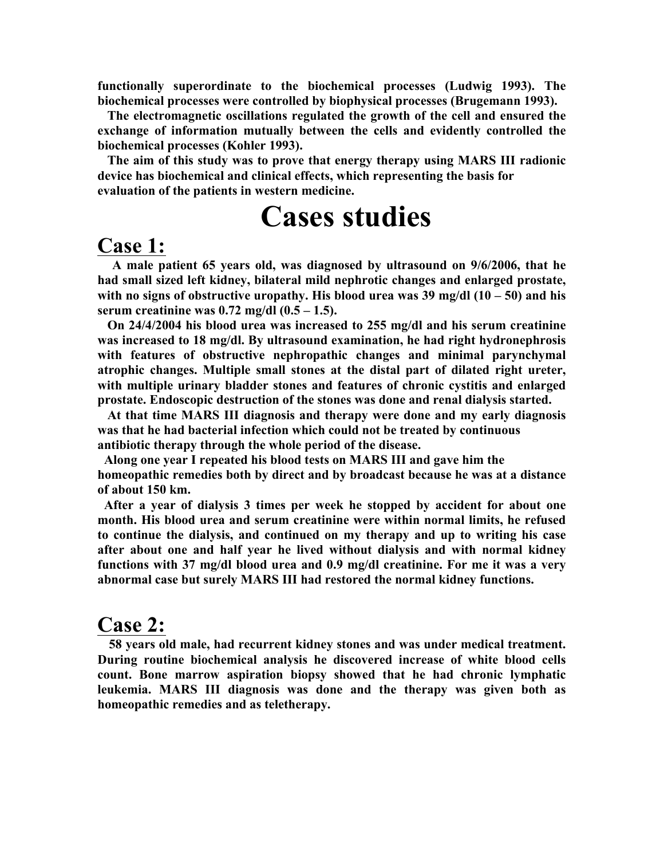**functionally superordinate to the biochemical processes (Ludwig 1993). The biochemical processes were controlled by biophysical processes (Brugemann 1993).**

 **The electromagnetic oscillations regulated the growth of the cell and ensured the exchange of information mutually between the cells and evidently controlled the biochemical processes (Kohler 1993).** 

 **The aim of this study was to prove that energy therapy using MARS III radionic device has biochemical and clinical effects, which representing the basis for evaluation of the patients in western medicine.** 

# **Cases studies**

#### **Case 1:**

 **A male patient 65 years old, was diagnosed by ultrasound on 9/6/2006, that he had small sized left kidney, bilateral mild nephrotic changes and enlarged prostate, with no signs of obstructive uropathy. His blood urea was 39 mg/dl (10 – 50) and his serum creatinine was 0.72 mg/dl (0.5 – 1.5).**

 **On 24/4/2004 his blood urea was increased to 255 mg/dl and his serum creatinine was increased to 18 mg/dl. By ultrasound examination, he had right hydronephrosis with features of obstructive nephropathic changes and minimal parynchymal atrophic changes. Multiple small stones at the distal part of dilated right ureter, with multiple urinary bladder stones and features of chronic cystitis and enlarged prostate. Endoscopic destruction of the stones was done and renal dialysis started.**

 **At that time MARS III diagnosis and therapy were done and my early diagnosis was that he had bacterial infection which could not be treated by continuous antibiotic therapy through the whole period of the disease.**

 **Along one year I repeated his blood tests on MARS III and gave him the homeopathic remedies both by direct and by broadcast because he was at a distance of about 150 km.**

 **After a year of dialysis 3 times per week he stopped by accident for about one month. His blood urea and serum creatinine were within normal limits, he refused to continue the dialysis, and continued on my therapy and up to writing his case after about one and half year he lived without dialysis and with normal kidney functions with 37 mg/dl blood urea and 0.9 mg/dl creatinine. For me it was a very abnormal case but surely MARS III had restored the normal kidney functions.**

#### **Case 2:**

 **58 years old male, had recurrent kidney stones and was under medical treatment. During routine biochemical analysis he discovered increase of white blood cells count. Bone marrow aspiration biopsy showed that he had chronic lymphatic leukemia. MARS III diagnosis was done and the therapy was given both as homeopathic remedies and as teletherapy.**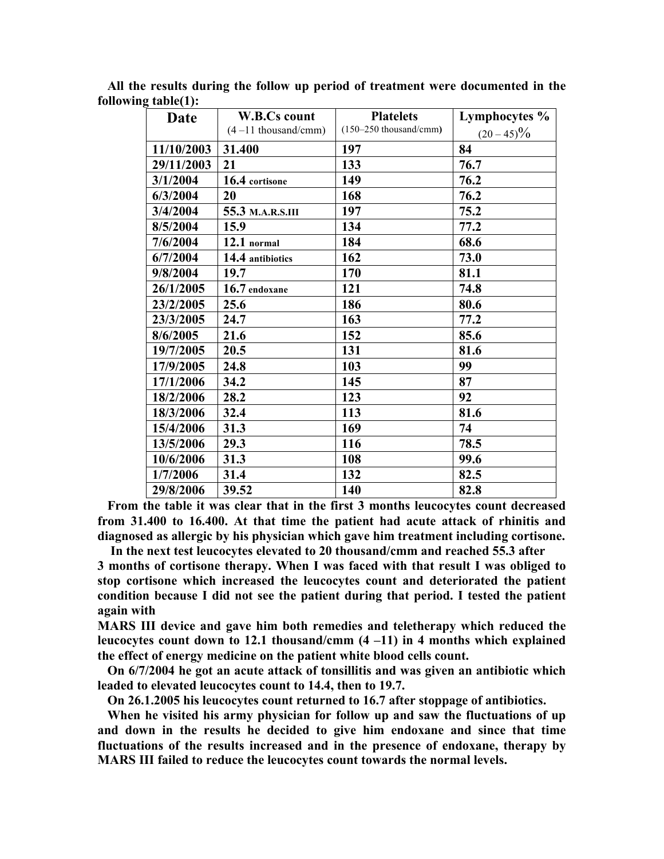| Date       | <b>W.B.Cs count</b>    | <b>Platelets</b>         | Lymphocytes % |
|------------|------------------------|--------------------------|---------------|
|            | $(4-11)$ thousand/cmm) | $(150-250$ thousand/cmm) | $(20-45)\%$   |
| 11/10/2003 | 31.400                 | 197                      | 84            |
| 29/11/2003 | 21                     | 133                      | 76.7          |
| 3/1/2004   | 16.4 cortisone         | 149                      | 76.2          |
| 6/3/2004   | 20                     | 168                      | 76.2          |
| 3/4/2004   | 55.3 M.A.R.S.III       | 197                      | 75.2          |
| 8/5/2004   | 15.9                   | 134                      | 77.2          |
| 7/6/2004   | 12.1 normal            | 184                      | 68.6          |
| 6/7/2004   | 14.4 antibiotics       | 162                      | 73.0          |
| 9/8/2004   | 19.7                   | 170                      | 81.1          |
| 26/1/2005  | 16.7 endoxane          | 121                      | 74.8          |
| 23/2/2005  | 25.6                   | 186                      | 80.6          |
| 23/3/2005  | 24.7                   | 163                      | 77.2          |
| 8/6/2005   | 21.6                   | 152                      | 85.6          |
| 19/7/2005  | 20.5                   | 131                      | 81.6          |
| 17/9/2005  | 24.8                   | 103                      | 99            |
| 17/1/2006  | 34.2                   | 145                      | 87            |
| 18/2/2006  | 28.2                   | 123                      | 92            |
| 18/3/2006  | 32.4                   | 113                      | 81.6          |
| 15/4/2006  | 31.3                   | 169                      | 74            |
| 13/5/2006  | 29.3                   | 116                      | 78.5          |
| 10/6/2006  | 31.3                   | 108                      | 99.6          |
| 1/7/2006   | 31.4                   | 132                      | 82.5          |
| 29/8/2006  | 39.52                  | 140                      | 82.8          |

 **All the results during the follow up period of treatment were documented in the following table(1):**

 **From the table it was clear that in the first 3 months leucocytes count decreased from 31.400 to 16.400. At that time the patient had acute attack of rhinitis and diagnosed as allergic by his physician which gave him treatment including cortisone.**

 **In the next test leucocytes elevated to 20 thousand/cmm and reached 55.3 after 3 months of cortisone therapy. When I was faced with that result I was obliged to stop cortisone which increased the leucocytes count and deteriorated the patient condition because I did not see the patient during that period. I tested the patient again with** 

**MARS III device and gave him both remedies and teletherapy which reduced the leucocytes count down to 12.1 thousand/cmm (4 –11) in 4 months which explained the effect of energy medicine on the patient white blood cells count.**

 **On 6/7/2004 he got an acute attack of tonsillitis and was given an antibiotic which leaded to elevated leucocytes count to 14.4, then to 19.7.** 

 **On 26.1.2005 his leucocytes count returned to 16.7 after stoppage of antibiotics.**

 **When he visited his army physician for follow up and saw the fluctuations of up and down in the results he decided to give him endoxane and since that time fluctuations of the results increased and in the presence of endoxane, therapy by MARS III failed to reduce the leucocytes count towards the normal levels.**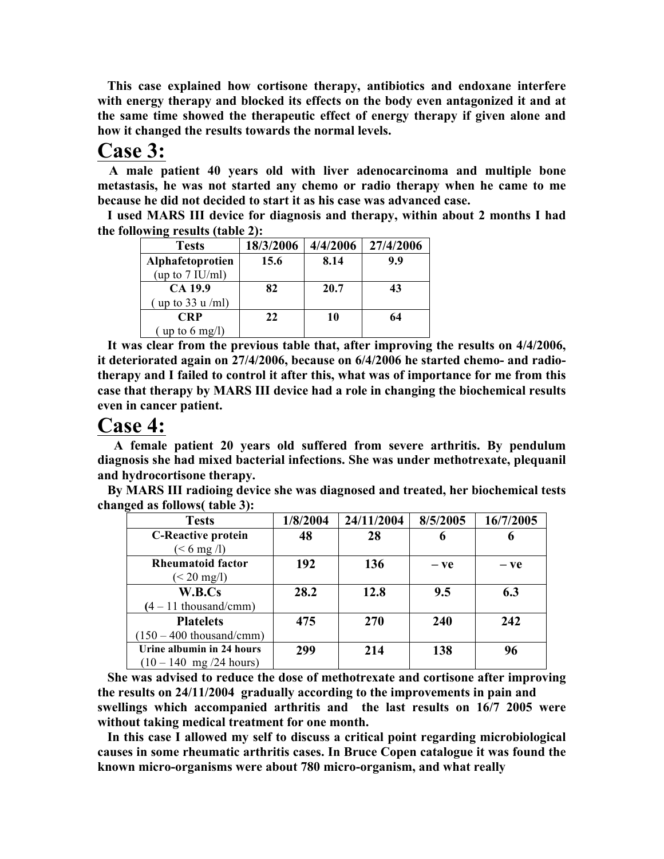**This case explained how cortisone therapy, antibiotics and endoxane interfere with energy therapy and blocked its effects on the body even antagonized it and at the same time showed the therapeutic effect of energy therapy if given alone and how it changed the results towards the normal levels.**

### **Case 3:**

 **A male patient 40 years old with liver adenocarcinoma and multiple bone metastasis, he was not started any chemo or radio therapy when he came to me because he did not decided to start it as his case was advanced case.**

 **I used MARS III device for diagnosis and therapy, within about 2 months I had the following results (table 2):**

| <b>Tests</b>                    | 18/3/2006 | 4/4/2006 | 27/4/2006 |
|---------------------------------|-----------|----------|-----------|
| Alphafetoprotien                | 15.6      | 8.14     | 9.9       |
| (up to $7$ IU/ml)               |           |          |           |
| CA 19.9                         | 82        | 20.7     | 43        |
| (up to $33 \text{ u/ml}$ )      |           |          |           |
| <b>CRP</b>                      | 22        | 10       | 64        |
| $(\text{up to }6 \text{ mg/l})$ |           |          |           |

 **It was clear from the previous table that, after improving the results on 4/4/2006, it deteriorated again on 27/4/2006, because on 6/4/2006 he started chemo- and radiotherapy and I failed to control it after this, what was of importance for me from this case that therapy by MARS III device had a role in changing the biochemical results even in cancer patient.**

### **Case 4:**

 **A female patient 20 years old suffered from severe arthritis. By pendulum diagnosis she had mixed bacterial infections. She was under methotrexate, plequanil and hydrocortisone therapy.**

 **By MARS III radioing device she was diagnosed and treated, her biochemical tests changed as follows( table 3):**

| <b>Tests</b>                             | 1/8/2004 | 24/11/2004 | 8/5/2005 | 16/7/2005 |
|------------------------------------------|----------|------------|----------|-----------|
| <b>C-Reactive protein</b>                | 48       | 28         | 6        | o         |
| $(< 6$ mg $/l$ )                         |          |            |          |           |
| <b>Rheumatoid factor</b>                 | 192      | 136        | $-ve$    | $-ve$     |
| $(< 20 \text{ mg/l})$                    |          |            |          |           |
| W.B.Cs                                   | 28.2     | 12.8       | 9.5      | 6.3       |
| $(4 - 11$ thousand/cmm)                  |          |            |          |           |
| <b>Platelets</b>                         | 475      | 270        | 240      | 242       |
| $(150 - 400$ thousand/cmm)               |          |            |          |           |
| Urine albumin in 24 hours                | 299      | 214        | 138      | 96        |
| $(10 - 140 \text{ mg}/24 \text{ hours})$ |          |            |          |           |

 **She was advised to reduce the dose of methotrexate and cortisone after improving the results on 24/11/2004 gradually according to the improvements in pain and swellings which accompanied arthritis and the last results on 16/7 2005 were without taking medical treatment for one month.**

 **In this case I allowed my self to discuss a critical point regarding microbiological causes in some rheumatic arthritis cases. In Bruce Copen catalogue it was found the known micro-organisms were about 780 micro-organism, and what really**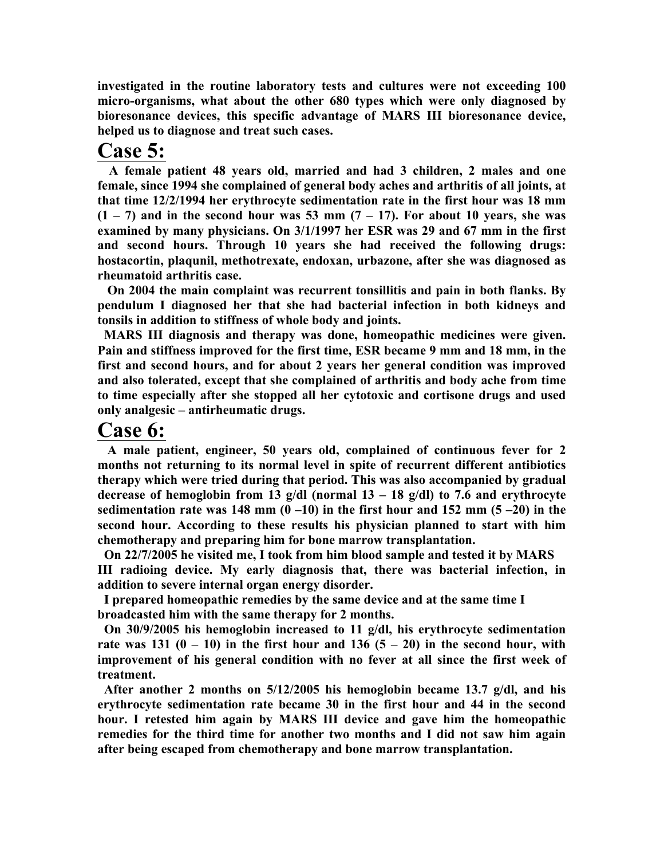**investigated in the routine laboratory tests and cultures were not exceeding 100 micro-organisms, what about the other 680 types which were only diagnosed by bioresonance devices, this specific advantage of MARS III bioresonance device, helped us to diagnose and treat such cases.**

### **Case 5:**

 **A female patient 48 years old, married and had 3 children, 2 males and one female, since 1994 she complained of general body aches and arthritis of all joints, at that time 12/2/1994 her erythrocyte sedimentation rate in the first hour was 18 mm (1 – 7) and in the second hour was 53 mm (7 – 17). For about 10 years, she was examined by many physicians. On 3/1/1997 her ESR was 29 and 67 mm in the first and second hours. Through 10 years she had received the following drugs: hostacortin, plaqunil, methotrexate, endoxan, urbazone, after she was diagnosed as rheumatoid arthritis case.**

 **On 2004 the main complaint was recurrent tonsillitis and pain in both flanks. By pendulum I diagnosed her that she had bacterial infection in both kidneys and tonsils in addition to stiffness of whole body and joints.**

 **MARS III diagnosis and therapy was done, homeopathic medicines were given. Pain and stiffness improved for the first time, ESR became 9 mm and 18 mm, in the first and second hours, and for about 2 years her general condition was improved and also tolerated, except that she complained of arthritis and body ache from time to time especially after she stopped all her cytotoxic and cortisone drugs and used only analgesic – antirheumatic drugs.**

#### **Case 6:**

 **A male patient, engineer, 50 years old, complained of continuous fever for 2 months not returning to its normal level in spite of recurrent different antibiotics therapy which were tried during that period. This was also accompanied by gradual decrease of hemoglobin from 13 g/dl (normal 13 – 18 g/dl) to 7.6 and erythrocyte sedimentation rate was 148 mm**  $(0 -10)$  **in the first hour and 152 mm**  $(5 -20)$  **in the second hour. According to these results his physician planned to start with him chemotherapy and preparing him for bone marrow transplantation.**

 **On 22/7/2005 he visited me, I took from him blood sample and tested it by MARS III radioing device. My early diagnosis that, there was bacterial infection, in addition to severe internal organ energy disorder.**

 **I prepared homeopathic remedies by the same device and at the same time I broadcasted him with the same therapy for 2 months.**

 **On 30/9/2005 his hemoglobin increased to 11 g/dl, his erythrocyte sedimentation**  rate was 131  $(0 - 10)$  in the first hour and 136  $(5 - 20)$  in the second hour, with **improvement of his general condition with no fever at all since the first week of treatment.**

 **After another 2 months on 5/12/2005 his hemoglobin became 13.7 g/dl, and his erythrocyte sedimentation rate became 30 in the first hour and 44 in the second hour. I retested him again by MARS III device and gave him the homeopathic remedies for the third time for another two months and I did not saw him again after being escaped from chemotherapy and bone marrow transplantation.**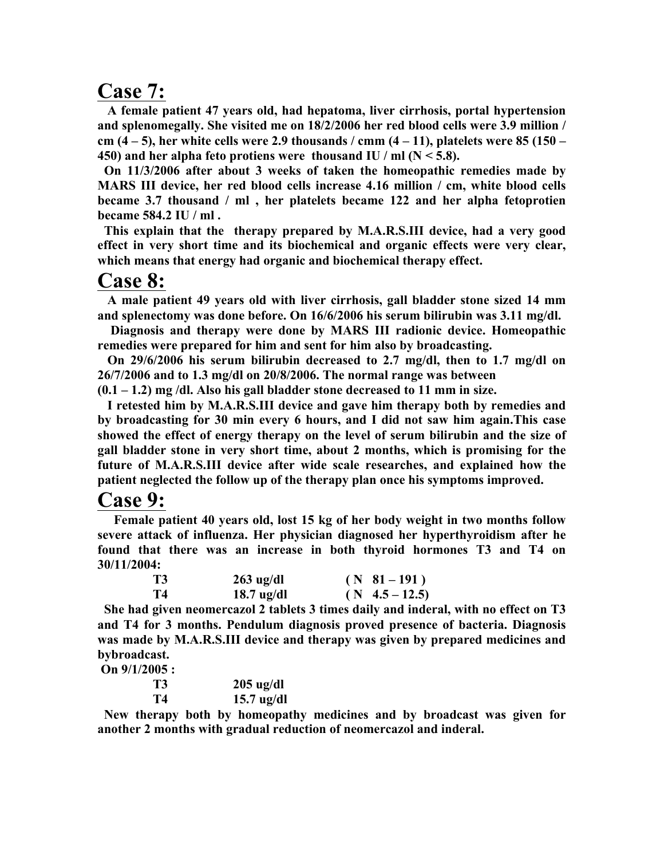### **Case 7:**

 **A female patient 47 years old, had hepatoma, liver cirrhosis, portal hypertension and splenomegally. She visited me on 18/2/2006 her red blood cells were 3.9 million / cm (4 – 5), her white cells were 2.9 thousands / cmm (4 – 11), platelets were 85 (150 – 450) and her alpha feto protiens were thousand IU / ml (N < 5.8).**

 **On 11/3/2006 after about 3 weeks of taken the homeopathic remedies made by MARS III device, her red blood cells increase 4.16 million / cm, white blood cells became 3.7 thousand / ml , her platelets became 122 and her alpha fetoprotien became 584.2 IU / ml .**

 **This explain that the therapy prepared by M.A.R.S.III device, had a very good effect in very short time and its biochemical and organic effects were very clear, which means that energy had organic and biochemical therapy effect.**

#### **Case 8:**

 **A male patient 49 years old with liver cirrhosis, gall bladder stone sized 14 mm and splenectomy was done before. On 16/6/2006 his serum bilirubin was 3.11 mg/dl.**

 **Diagnosis and therapy were done by MARS III radionic device. Homeopathic remedies were prepared for him and sent for him also by broadcasting.**

 **On 29/6/2006 his serum bilirubin decreased to 2.7 mg/dl, then to 1.7 mg/dl on 26/7/2006 and to 1.3 mg/dl on 20/8/2006. The normal range was between** 

**(0.1 – 1.2) mg /dl. Also his gall bladder stone decreased to 11 mm in size.**

 **I retested him by M.A.R.S.III device and gave him therapy both by remedies and by broadcasting for 30 min every 6 hours, and I did not saw him again.This case showed the effect of energy therapy on the level of serum bilirubin and the size of gall bladder stone in very short time, about 2 months, which is promising for the future of M.A.R.S.III device after wide scale researches, and explained how the patient neglected the follow up of the therapy plan once his symptoms improved.**

**Case 9:** Female patient 40 years old, lost 15 kg of her body weight in two months follow **severe attack of influenza. Her physician diagnosed her hyperthyroidism after he found that there was an increase in both thyroid hormones T3 and T4 on 30/11/2004:**

| <b>T3</b> | $263$ ug/dl  | $(N \t 81 - 191)$  |
|-----------|--------------|--------------------|
| T4        | $18.7$ ug/dl | $(N \ 4.5 - 12.5)$ |

 **She had given neomercazol 2 tablets 3 times daily and inderal, with no effect on T3 and T4 for 3 months. Pendulum diagnosis proved presence of bacteria. Diagnosis was made by M.A.R.S.III device and therapy was given by prepared medicines and bybroadcast.**

**On 9/1/2005 :**

| <b>T3</b> | $205$ ug/dl  |
|-----------|--------------|
| T4        | $15.7$ ug/dl |

 **New therapy both by homeopathy medicines and by broadcast was given for another 2 months with gradual reduction of neomercazol and inderal.**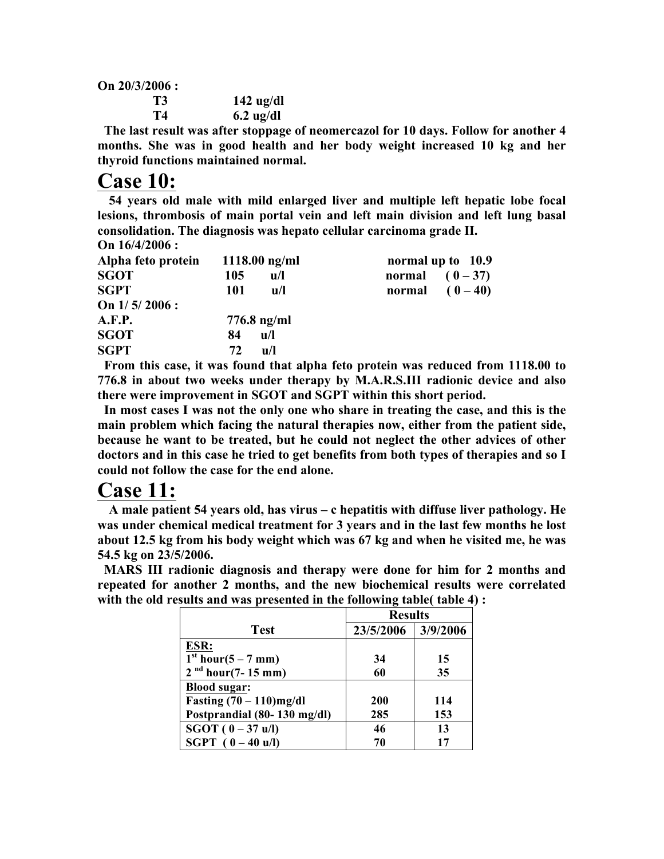**On 20/3/2006 :**

| T3 | $142$ ug/dl |
|----|-------------|
| T4 | $6.2$ ug/dl |

 **The last result was after stoppage of neomercazol for 10 days. Follow for another 4 months. She was in good health and her body weight increased 10 kg and her thyroid functions maintained normal.**

### **Case 10:**

 **54 years old male with mild enlarged liver and multiple left hepatic lobe focal lesions, thrombosis of main portal vein and left main division and left lung basal consolidation. The diagnosis was hepato cellular carcinoma grade II. On 16/4/2006 :**

| $VII$ 10/7/2000 $\cdot$ |                                |                   |
|-------------------------|--------------------------------|-------------------|
| Alpha feto protein      | $1118.00$ ng/ml                | normal up to 10.9 |
| <b>SGOT</b>             | 105<br>u/l                     | normal $(0-37)$   |
| <b>SGPT</b>             | 101<br>$\mathbf{u}/\mathbf{l}$ | normal $(0-40)$   |
| On $1/5/2006$ :         |                                |                   |
| A.F.P.                  | $776.8$ ng/ml                  |                   |
| <b>SGOT</b>             | 84<br>$\mathbf{u}/\mathbf{l}$  |                   |
| <b>SGPT</b>             | 72<br>$\mathbf{u}/\mathbf{l}$  |                   |
|                         |                                |                   |

 **From this case, it was found that alpha feto protein was reduced from 1118.00 to 776.8 in about two weeks under therapy by M.A.R.S.III radionic device and also there were improvement in SGOT and SGPT within this short period.**

 **In most cases I was not the only one who share in treating the case, and this is the main problem which facing the natural therapies now, either from the patient side, because he want to be treated, but he could not neglect the other advices of other doctors and in this case he tried to get benefits from both types of therapies and so I could not follow the case for the end alone.**

## **Case 11:**

 **A male patient 54 years old, has virus – c hepatitis with diffuse liver pathology. He was under chemical medical treatment for 3 years and in the last few months he lost about 12.5 kg from his body weight which was 67 kg and when he visited me, he was 54.5 kg on 23/5/2006.**

 **MARS III radionic diagnosis and therapy were done for him for 2 months and repeated for another 2 months, and the new biochemical results were correlated with the old results and was presented in the following table( table 4) :**

|                                | <b>Results</b> |          |
|--------------------------------|----------------|----------|
| <b>Test</b>                    | 23/5/2006      | 3/9/2006 |
| ESR:                           |                |          |
| 1 <sup>st</sup> hour(5 – 7 mm) | 34             | 15       |
| $2nd hour(7-15 mm)$            | 60             | 35       |
| <b>Blood sugar:</b>            |                |          |
| Fasting $(70 - 110)$ mg/dl     | <b>200</b>     | 114      |
| Postprandial (80-130 mg/dl)    | 285            | 153      |
| $SGOT (0 - 37 u/l)$            | 46             | 13       |
| <b>SGPT</b> $(0 - 40$ u/l)     | 70             | 17       |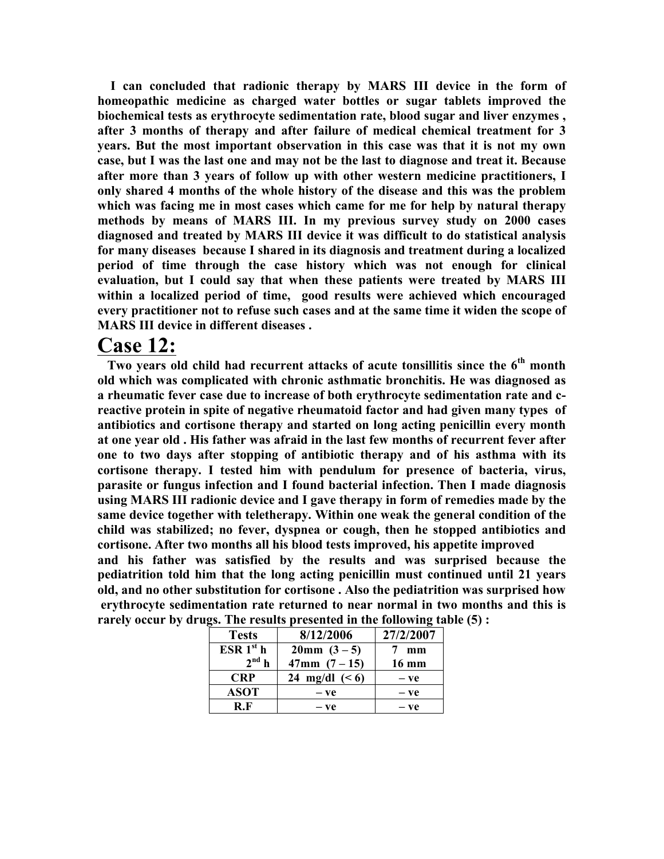**I can concluded that radionic therapy by MARS III device in the form of homeopathic medicine as charged water bottles or sugar tablets improved the biochemical tests as erythrocyte sedimentation rate, blood sugar and liver enzymes , after 3 months of therapy and after failure of medical chemical treatment for 3 years. But the most important observation in this case was that it is not my own case, but I was the last one and may not be the last to diagnose and treat it. Because after more than 3 years of follow up with other western medicine practitioners, I only shared 4 months of the whole history of the disease and this was the problem which was facing me in most cases which came for me for help by natural therapy methods by means of MARS III. In my previous survey study on 2000 cases diagnosed and treated by MARS III device it was difficult to do statistical analysis for many diseases because I shared in its diagnosis and treatment during a localized period of time through the case history which was not enough for clinical evaluation, but I could say that when these patients were treated by MARS III within a localized period of time, good results were achieved which encouraged every practitioner not to refuse such cases and at the same time it widen the scope of MARS III device in different diseases .**

**Case 12:** Two years old child had recurrent attacks of acute tonsillitis since the 6<sup>th</sup> month **old which was complicated with chronic asthmatic bronchitis. He was diagnosed as a rheumatic fever case due to increase of both erythrocyte sedimentation rate and creactive protein in spite of negative rheumatoid factor and had given many types of antibiotics and cortisone therapy and started on long acting penicillin every month at one year old . His father was afraid in the last few months of recurrent fever after one to two days after stopping of antibiotic therapy and of his asthma with its cortisone therapy. I tested him with pendulum for presence of bacteria, virus, parasite or fungus infection and I found bacterial infection. Then I made diagnosis using MARS III radionic device and I gave therapy in form of remedies made by the same device together with teletherapy. Within one weak the general condition of the child was stabilized; no fever, dyspnea or cough, then he stopped antibiotics and cortisone. After two months all his blood tests improved, his appetite improved and his father was satisfied by the results and was surprised because the pediatrition told him that the long acting penicillin must continued until 21 years old, and no other substitution for cortisone . Also the pediatrition was surprised how erythrocyte sedimentation rate returned to near normal in two months and this is rarely occur by drugs. The results presented in the following table (5) :**

| <b>Tests</b>  | 8/12/2006        | 27/2/2007 |
|---------------|------------------|-----------|
| $ESR1^{st}$ h | $20mm(3-5)$      | mm        |
| $2^{nd}$ h    | $47mm$ $(7-15)$  | 16 mm     |
| <b>CRP</b>    | 24 mg/dl $(< 6)$ | $-ve$     |
| <b>ASOT</b>   | — ve             | $-ve$     |
| R F           | $-ve$            | — ve      |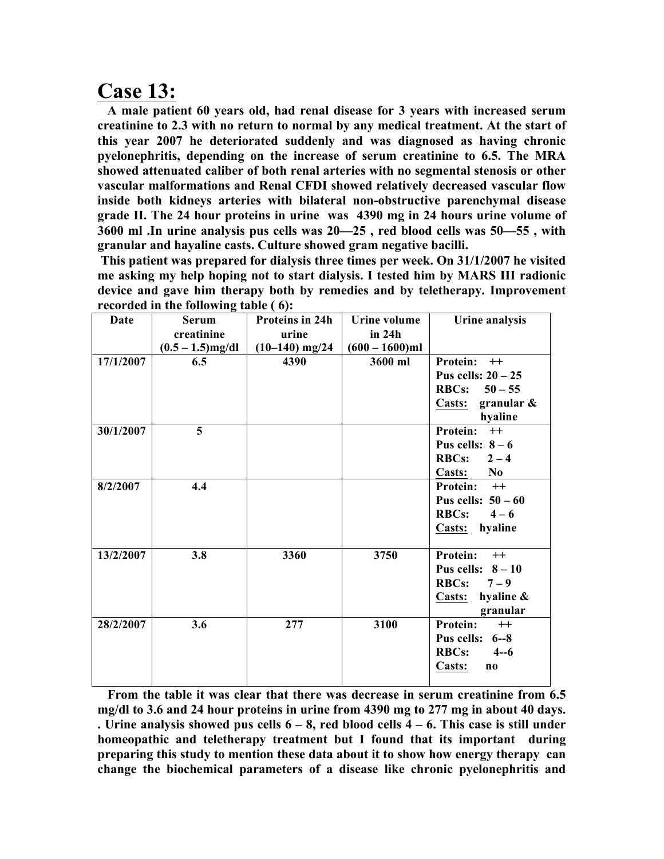**Case 13: A male patient 60 years old, had renal disease for 3 years with increased serum creatinine to 2.3 with no return to normal by any medical treatment. At the start of this year 2007 he deteriorated suddenly and was diagnosed as having chronic pyelonephritis, depending on the increase of serum creatinine to 6.5. The MRA showed attenuated caliber of both renal arteries with no segmental stenosis or other vascular malformations and Renal CFDI showed relatively decreased vascular flow inside both kidneys arteries with bilateral non-obstructive parenchymal disease grade II. The 24 hour proteins in urine was 4390 mg in 24 hours urine volume of 3600 ml .In urine analysis pus cells was 20—25 , red blood cells was 50—55 , with granular and hayaline casts. Culture showed gram negative bacilli.**

**This patient was prepared for dialysis three times per week. On 31/1/2007 he visited me asking my help hoping not to start dialysis. I tested him by MARS III radionic device and gave him therapy both by remedies and by teletherapy. Improvement recorded in the following table ( 6):**

| Date      | recorded in the rond wing table $\sqrt{9}$ .<br><b>Serum</b> | Proteins in 24h  | Urine volume      | Urine analysis                   |
|-----------|--------------------------------------------------------------|------------------|-------------------|----------------------------------|
|           | creatinine                                                   | urine            | in 24h            |                                  |
|           | $(0.5 - 1.5)$ mg/dl                                          | $(10-140)$ mg/24 | $(600 - 1600)$ ml |                                  |
| 17/1/2007 | 6.5                                                          | 4390             | 3600 ml           | Protein: ++                      |
|           |                                                              |                  |                   | Pus cells: $20 - 25$             |
|           |                                                              |                  |                   | <b>RBCs:</b><br>$50 - 55$        |
|           |                                                              |                  |                   | Casts: granular $\&$             |
|           |                                                              |                  |                   | hyaline                          |
| 30/1/2007 | 5                                                            |                  |                   | <b>Protein:</b><br>$++$          |
|           |                                                              |                  |                   | Pus cells: $8-6$                 |
|           |                                                              |                  |                   | RBCs: $2-4$                      |
|           |                                                              |                  |                   | Casts:<br>N <sub>0</sub>         |
| 8/2/2007  | 4.4                                                          |                  |                   | Protein: ++                      |
|           |                                                              |                  |                   | Pus cells: $50-60$               |
|           |                                                              |                  |                   | <b>RBCs:</b><br>$4 - 6$          |
|           |                                                              |                  |                   | hyaline<br><b>Casts:</b>         |
|           |                                                              |                  |                   |                                  |
| 13/2/2007 | 3.8                                                          | 3360             | 3750              | Protein: ++                      |
|           |                                                              |                  |                   | Pus cells: $8-10$                |
|           |                                                              |                  |                   | <b>RBCs:</b><br>$7 - 9$          |
|           |                                                              |                  |                   | hyaline &<br>Casts:              |
|           |                                                              |                  |                   | granular                         |
| 28/2/2007 | 3.6                                                          | 277              | 3100              | <b>Protein:</b><br>$++$          |
|           |                                                              |                  |                   | Pus cells: 6--8                  |
|           |                                                              |                  |                   | <b>RBCs:</b><br>$4 - 6$          |
|           |                                                              |                  |                   | Casts:<br>$\mathbf{n}\mathbf{o}$ |
|           |                                                              |                  |                   |                                  |

 **From the table it was clear that there was decrease in serum creatinine from 6.5 mg/dl to 3.6 and 24 hour proteins in urine from 4390 mg to 277 mg in about 40 days. . Urine analysis showed pus cells 6 – 8, red blood cells 4 – 6. This case is still under homeopathic and teletherapy treatment but I found that its important during preparing this study to mention these data about it to show how energy therapy can change the biochemical parameters of a disease like chronic pyelonephritis and**